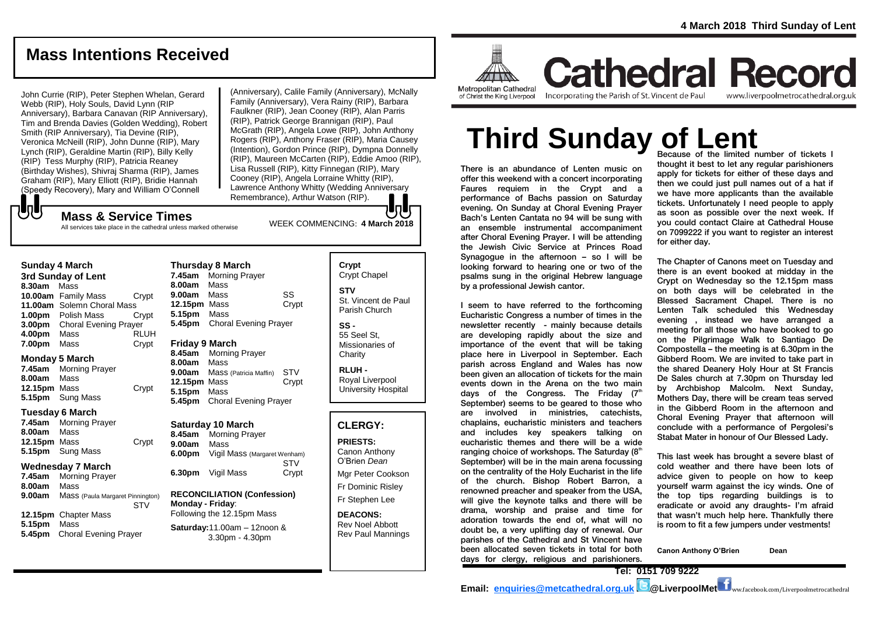# **Mass Intentions Received**

John Currie (RIP), Peter Stephen Whelan, Gerard Webb (RIP), Holy Souls, David Lynn (RIP Anniversary), Barbara Canavan (RIP Anniversary), Tim and Brenda Davies (Golden Wedding), Robert Smith (RIP Anniversary), Tia Devine (RIP), Veronica McNeill (RIP), John Dunne (RIP), Mary Lynch (RIP), Geraldine Martin (RIP), Billy Kelly (RIP) Tess Murphy (RIP), Patricia Reaney (Birthday Wishes), Shivraj Sharma (RIP), James Graham (RIP), Mary Elliott (RIP), Bridie Hannah (Speedy Recovery), Mary and William O'Connell

WEEK COMMENCING: **4 March <sup>2018</sup> Mass & Service Times** (Anniversary), Calile Family (Anniversary), McNally Family (Anniversary), Vera Rainy (RIP), Barbara Faulkner (RIP), Jean Cooney (RIP), Alan Parris (RIP), Patrick George Brannigan (RIP), Paul McGrath (RIP), Angela Lowe (RIP), John Anthony Rogers (RIP), Anthony Fraser (RIP), Maria Causey (Intention), Gordon Prince (RIP), Dympna Donnelly (RIP), Maureen McCarten (RIP), Eddie Amoo (RIP), Lisa Russell (RIP), Kitty Finnegan (RIP), Mary Cooney (RIP), Angela Lorraine Whitty (RIP), Lawrence Anthony Whitty (Wedding Anniversary Remembrance), Arthur Watson (RIP).

# ${\bf b}$

All services take place in the cathedral unless marked otherwise

| Sunday 4 March<br>3rd Sunday of Lent |                              |       |  |  |
|--------------------------------------|------------------------------|-------|--|--|
|                                      |                              |       |  |  |
|                                      | 10.00am Family Mass          | Crypt |  |  |
| 11.00am                              | Solemn Choral Mass           |       |  |  |
| 1.00 <sub>pm</sub>                   | Polish Mass                  | Crvpt |  |  |
| 3.00 <sub>pm</sub>                   | <b>Choral Evening Prayer</b> |       |  |  |
| 4.00pm                               | Mass                         | RLUH  |  |  |
| 7.00pm                               | Mass                         | Crvpt |  |  |

#### **Monday 5 March**

**Sunday 4 March** 

**7.45am** Morning Prayer **8.00am** Mass **12.15pm** Mass Crypt **5.15pm** Sung Mass

#### **Tuesday 6 March**

**7.45am** Morning Prayer **8.00am** Mass **12.15pm** Mass Crypt **5.15pm** Sung Mass

#### **Wednesday 7 March**

**7.45am** Morning Prayer **8.00am** Mass **9.00am** Mass (Paula Margaret Pinnington) **STV 12.15pm** Chapter Mass **5.15pm** Mass **5.45pm** Choral Evening Prayer

| <b>Thursday 8 March</b> |                              |       |  |
|-------------------------|------------------------------|-------|--|
| 7.45am                  | <b>Morning Prayer</b>        |       |  |
| 8.00am                  | Mass                         |       |  |
| 9.00am                  | Mass                         | SS    |  |
| 12.15pm Mass            |                              | Crypt |  |
| 5.15pm                  | Mass                         |       |  |
| 5.45pm                  | <b>Choral Evening Prayer</b> |       |  |
|                         |                              |       |  |
| <b>Friday 9 March</b>   |                              |       |  |
| 8.45am                  | <b>Morning Prayer</b>        |       |  |
| 8.00am                  | Mass                         |       |  |
| 9.00am                  | Mass (Patricia Maffin)       | STV   |  |
| 12.15pm Mass            |                              | Crypt |  |
| 5.15pm                  | Mass                         |       |  |

## **Saturday 10 March**

**8.45am** Morning Prayer **9.00am** Mass **6.00pm** Vigil Mass (Margaret Wenham) **STV 6.30pm** Vigil Mass Crypt

**5.45pm** Choral Evening Prayer

#### **RECONCILIATION (Confession) Monday - Friday**: Following the 12.15pm Mass

**Saturday:**11.00am – 12noon & 3.30pm - 4.30pm

#### **Crypt**  Crypt Chapel **STV** St. Vincent de Paul Parish Church **SS -**

55 Seel St, Missionaries of **Charity** 

**RLUH -** Royal Liverpool University Hospital

#### **CLERGY:**

**PRIESTS:** Canon Anthony O'Brien *Dean* Mgr Peter Cookson Fr Dominic Risley Fr Stephen Lee

**DEACONS:** Rev Noel Abbott Rev Paul Mannings



of Christ the King Liverpool

Incorporating the Parish of St. Vincent de Paul

**Cathedral Record** www.liverpoolmetrocathedral.org.uk

# **Third Sunday of Lent**

There is an abundance of Lenten music on offer this weekend with a concert incorporating Faures requiem in the Crypt and a performance of Bachs passion on Saturday evening. On Sunday at Choral Evening Prayer Bach's Lenten Cantata no 94 will be sung with an ensemble instrumental accompaniment after Choral Evening Prayer. I will be attending the Jewish Civic Service at Princes Road Synagogue in the afternoon – so I will be looking forward to hearing one or two of the psalms sung in the original Hebrew language by a professional Jewish cantor.

I seem to have referred to the forthcoming Eucharistic Congress a number of times in the newsletter recently - mainly because details are developing rapidly about the size and importance of the event that will be taking place here in Liverpool in September. Each parish across England and Wales has now been given an allocation of tickets for the main events down in the Arena on the two main days of the Congress. The Friday  $(7<sup>th</sup>)$ September) seems to be geared to those who are involved in ministries, catechists, chaplains, eucharistic ministers and teachers and includes key speakers talking on eucharistic themes and there will be a wide ranging choice of workshops. The Saturday  $(8<sup>th</sup>$ September) will be in the main arena focussing on the centrality of the Holy Eucharist in the life of the church. Bishop Robert Barron, a renowned preacher and speaker from the USA, will give the keynote talks and there will be drama, worship and praise and time for adoration towards the end of, what will no doubt be, a very uplifting day of renewal. Our parishes of the Cathedral and St Vincent have been allocated seven tickets in total for both days for clergy, religious and parishioners.

Because of the limited number of tickets I thought it best to let any regular parishioners apply for tickets for either of these days and then we could just pull names out of a hat if we have more applicants than the available tickets. Unfortunately I need people to apply as soon as possible over the next week. If you could contact Claire at Cathedral House on 7099222 if you want to register an interest for either day.

The Chapter of Canons meet on Tuesday and there is an event booked at midday in the Crypt on Wednesday so the 12.15pm mass on both days will be celebrated in the Blessed Sacrament Chapel. There is no Lenten Talk scheduled this Wednesday evening , instead we have arranged a meeting for all those who have booked to go on the Pilgrimage Walk to Santiago De Compostella – the meeting is at 6.30pm in the Gibberd Room. We are invited to take part in the shared Deanery Holy Hour at St Francis De Sales church at 7.30pm on Thursday led by Archbishop Malcolm. Next Sunday, Mothers Day, there will be cream teas served in the Gibberd Room in the afternoon and Choral Evening Prayer that afternoon will conclude with a performance of Pergolesi's Stabat Mater in honour of Our Blessed Lady.

This last week has brought a severe blast of cold weather and there have been lots of advice given to people on how to keep yourself warm against the icy winds. One of the top tips regarding buildings is to eradicate or avoid any draughts- I'm afraid that wasn't much help here. Thankfully there is room to fit a few jumpers under vestments!

**Canon Anthony O'Brien Dean**

**Email: [enquiries@metcathedral.org.uk](mailto:enquiries@metcathedral.org.uk) B** @LiverpoolMet **f** ww.facebook.com/Liverpoolmetrocathedral

**Tel: 0151 709 9222**